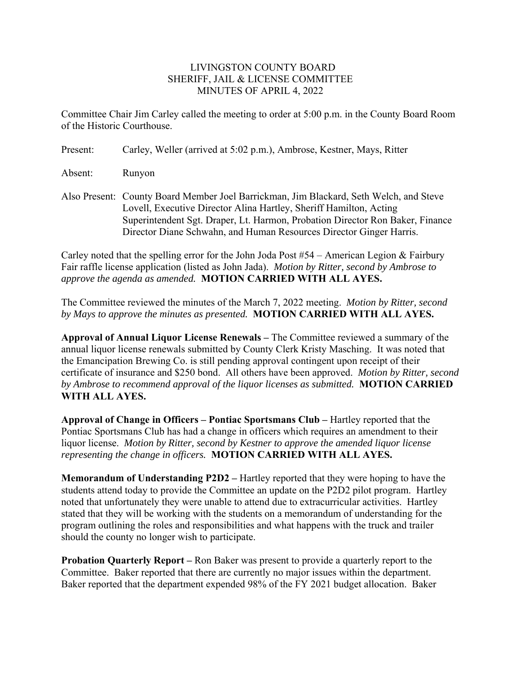## LIVINGSTON COUNTY BOARD SHERIFF, JAIL & LICENSE COMMITTEE MINUTES OF APRIL 4, 2022

Committee Chair Jim Carley called the meeting to order at 5:00 p.m. in the County Board Room of the Historic Courthouse.

| Present: | Carley, Weller (arrived at 5:02 p.m.), Ambrose, Kestner, Mays, Ritter                                                                                                                                                                         |
|----------|-----------------------------------------------------------------------------------------------------------------------------------------------------------------------------------------------------------------------------------------------|
| Absent:  | Runyon                                                                                                                                                                                                                                        |
|          | Also Present: County Board Member Joel Barrickman, Jim Blackard, Seth Welch, and Steve<br>Lovell, Executive Director Alina Hartley, Sheriff Hamilton, Acting<br>Superintendent Sgt. Draper, Lt. Harmon, Probation Director Ron Baker, Finance |

Carley noted that the spelling error for the John Joda Post #54 – American Legion & Fairbury Fair raffle license application (listed as John Jada). *Motion by Ritter, second by Ambrose to approve the agenda as amended.* **MOTION CARRIED WITH ALL AYES.** 

Director Diane Schwahn, and Human Resources Director Ginger Harris.

The Committee reviewed the minutes of the March 7, 2022 meeting. *Motion by Ritter, second by Mays to approve the minutes as presented.* **MOTION CARRIED WITH ALL AYES.** 

**Approval of Annual Liquor License Renewals –** The Committee reviewed a summary of the annual liquor license renewals submitted by County Clerk Kristy Masching. It was noted that the Emancipation Brewing Co. is still pending approval contingent upon receipt of their certificate of insurance and \$250 bond. All others have been approved. *Motion by Ritter, second by Ambrose to recommend approval of the liquor licenses as submitted.* **MOTION CARRIED WITH ALL AYES.** 

**Approval of Change in Officers – Pontiac Sportsmans Club –** Hartley reported that the Pontiac Sportsmans Club has had a change in officers which requires an amendment to their liquor license. *Motion by Ritter, second by Kestner to approve the amended liquor license representing the change in officers.* **MOTION CARRIED WITH ALL AYES.** 

**Memorandum of Understanding P2D2 –** Hartley reported that they were hoping to have the students attend today to provide the Committee an update on the P2D2 pilot program. Hartley noted that unfortunately they were unable to attend due to extracurricular activities. Hartley stated that they will be working with the students on a memorandum of understanding for the program outlining the roles and responsibilities and what happens with the truck and trailer should the county no longer wish to participate.

**Probation Quarterly Report –** Ron Baker was present to provide a quarterly report to the Committee. Baker reported that there are currently no major issues within the department. Baker reported that the department expended 98% of the FY 2021 budget allocation. Baker